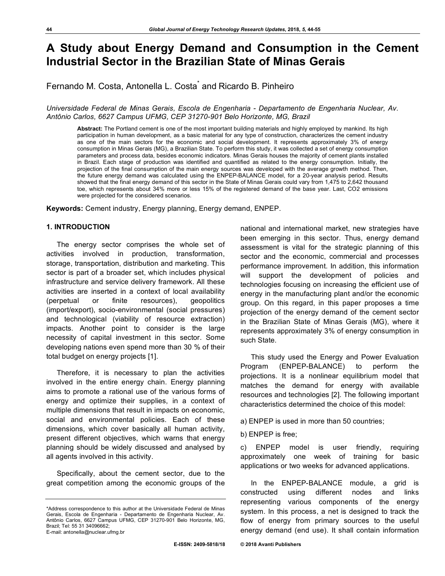# **A Study about Energy Demand and Consumption in the Cement Industrial Sector in the Brazilian State of Minas Gerais**

Fernando M. Costa, Antonella L. Costa<sup>\*</sup> and Ricardo B. Pinheiro

## *Universidade Federal de Minas Gerais, Escola de Engenharia - Departamento de Engenharia Nuclear, Av. Antônio Carlos, 6627 Campus UFMG, CEP 31270-901 Belo Horizonte, MG, Brazil*

**Abstract:** The Portland cement is one of the most important building materials and highly employed by mankind. Its high participation in human development, as a basic material for any type of construction, characterizes the cement industry as one of the main sectors for the economic and social development. It represents approximately 3% of energy consumption in Minas Gerais (MG), a Brazilian State. To perform this study, it was collected a set of energy consumption parameters and process data, besides economic indicators. Minas Gerais houses the majority of cement plants installed in Brazil. Each stage of production was identified and quantified as related to the energy consumption. Initially, the projection of the final consumption of the main energy sources was developed with the average growth method. Then, the future energy demand was calculated using the ENPEP-BALANCE model, for a 20-year analysis period. Results showed that the final energy demand of this sector in the State of Minas Gerais could vary from 1,475 to 2,642 thousand toe, which represents about 34% more or less 15% of the registered demand of the base year. Last, CO2 emissions were projected for the considered scenarios.

**Keywords:** Cement industry, Energy planning, Energy demand, ENPEP.

#### **1. INTRODUCTION**

The energy sector comprises the whole set of activities involved in production, transformation, storage, transportation, distribution and marketing. This sector is part of a broader set, which includes physical infrastructure and service delivery framework. All these activities are inserted in a context of local availability (perpetual or finite resources), geopolitics (import/export), socio-environmental (social pressures) and technological (viability of resource extraction) impacts. Another point to consider is the large necessity of capital investment in this sector. Some developing nations even spend more than 30 % of their total budget on energy projects [1].

Therefore, it is necessary to plan the activities involved in the entire energy chain. Energy planning aims to promote a rational use of the various forms of energy and optimize their supplies, in a context of multiple dimensions that result in impacts on economic, social and environmental policies. Each of these dimensions, which cover basically all human activity, present different objectives, which warns that energy planning should be widely discussed and analysed by all agents involved in this activity.

Specifically, about the cement sector, due to the great competition among the economic groups of the

national and international market, new strategies have been emerging in this sector. Thus, energy demand assessment is vital for the strategic planning of this sector and the economic, commercial and processes performance improvement. In addition, this information will support the development of policies and technologies focusing on increasing the efficient use of energy in the manufacturing plant and/or the economic group. On this regard, in this paper proposes a time projection of the energy demand of the cement sector in the Brazilian State of Minas Gerais (MG), where it represents approximately 3% of energy consumption in such State.

This study used the Energy and Power Evaluation Program (ENPEP-BALANCE) to perform the projections. It is a nonlinear equilibrium model that matches the demand for energy with available resources and technologies [2]. The following important characteristics determined the choice of this model:

a) ENPEP is used in more than 50 countries;

b) ENPEP is free;

c) ENPEP model is user friendly, requiring approximately one week of training for basic applications or two weeks for advanced applications.

In the ENPEP-BALANCE module, a grid is constructed using different nodes and links representing various components of the energy system. In this process, a net is designed to track the flow of energy from primary sources to the useful energy demand (end use). It shall contain information

<sup>\*</sup>Address correspondence to this author at the Universidade Federal de Minas Gerais, Escola de Engenharia - Departamento de Engenharia Nuclear, Av. Antônio Carlos, 6627 Campus UFMG, CEP 31270-901 Belo Horizonte, MG, Brazil; Tel: 55 31 34096662; E-mail: antonella@nuclear.ufmg.br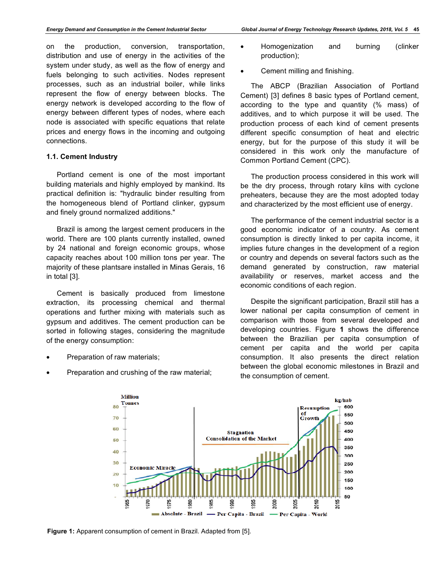on the production, conversion, transportation, distribution and use of energy in the activities of the system under study, as well as the flow of energy and fuels belonging to such activities. Nodes represent processes, such as an industrial boiler, while links represent the flow of energy between blocks. The energy network is developed according to the flow of energy between different types of nodes, where each node is associated with specific equations that relate prices and energy flows in the incoming and outgoing connections.

### **1.1. Cement Industry**

Portland cement is one of the most important building materials and highly employed by mankind. Its practical definition is: "hydraulic binder resulting from the homogeneous blend of Portland clinker, gypsum and finely ground normalized additions."

Brazil is among the largest cement producers in the world. There are 100 plants currently installed, owned by 24 national and foreign economic groups, whose capacity reaches about 100 million tons per year. The majority of these plantsare installed in Minas Gerais, 16 in total [3].

Cement is basically produced from limestone extraction, its processing chemical and thermal operations and further mixing with materials such as gypsum and additives. The cement production can be sorted in following stages, considering the magnitude of the energy consumption:

- Preparation of raw materials;
- Preparation and crushing of the raw material;
- Homogenization and burning (clinker production);
- Cement milling and finishing.

The ABCP (Brazilian Association of Portland Cement) [3] defines 8 basic types of Portland cement, according to the type and quantity (% mass) of additives, and to which purpose it will be used. The production process of each kind of cement presents different specific consumption of heat and electric energy, but for the purpose of this study it will be considered in this work only the manufacture of Common Portland Cement (CPC).

The production process considered in this work will be the dry process, through rotary kilns with cyclone preheaters, because they are the most adopted today and characterized by the most efficient use of energy.

The performance of the cement industrial sector is a good economic indicator of a country. As cement consumption is directly linked to per capita income, it implies future changes in the development of a region or country and depends on several factors such as the demand generated by construction, raw material availability or reserves, market access and the economic conditions of each region.

Despite the significant participation. Brazil still has a lower national per capita consumption of cement in comparison with those from several developed and developing countries. Figure **1** shows the difference between the Brazilian per capita consumption of cement per capita and the world per capita consumption. It also presents the direct relation between the global economic milestones in Brazil and the consumption of cement.



**Figure 1:** Apparent consumption of cement in Brazil. Adapted from [5].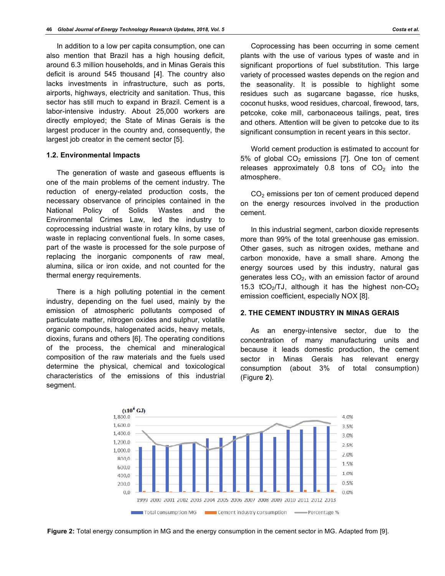In addition to a low per capita consumption, one can also mention that Brazil has a high housing deficit, around 6.3 million households, and in Minas Gerais this deficit is around 545 thousand [4]. The country also lacks investments in infrastructure, such as ports, airports, highways, electricity and sanitation. Thus, this sector has still much to expand in Brazil. Cement is a labor-intensive industry. About 25,000 workers are directly employed; the State of Minas Gerais is the largest producer in the country and, consequently, the largest job creator in the cement sector [5].

#### **1.2. Environmental Impacts**

The generation of waste and gaseous effluents is one of the main problems of the cement industry. The reduction of energy-related production costs, the necessary observance of principles contained in the National Policy of Solids Wastes and the Environmental Crimes Law, led the industry to coprocessing industrial waste in rotary kilns, by use of waste in replacing conventional fuels. In some cases, part of the waste is processed for the sole purpose of replacing the inorganic components of raw meal, alumina, silica or iron oxide, and not counted for the thermal energy requirements.

There is a high polluting potential in the cement industry, depending on the fuel used, mainly by the emission of atmospheric pollutants composed of particulate matter, nitrogen oxides and sulphur, volatile organic compounds, halogenated acids, heavy metals, dioxins, furans and others [6]. The operating conditions of the process, the chemical and mineralogical composition of the raw materials and the fuels used determine the physical, chemical and toxicological characteristics of the emissions of this industrial segment.

Coprocessing has been occurring in some cement plants with the use of various types of waste and in significant proportions of fuel substitution. This large variety of processed wastes depends on the region and the seasonality. It is possible to highlight some residues such as sugarcane bagasse, rice husks, coconut husks, wood residues, charcoal, firewood, tars, petcoke, coke mill, carbonaceous tailings, peat, tires and others. Attention will be given to petcoke due to its significant consumption in recent years in this sector.

World cement production is estimated to account for 5% of global  $CO<sub>2</sub>$  emissions [7]. One ton of cement releases approximately  $0.8$  tons of  $CO<sub>2</sub>$  into the atmosphere.

CO<sub>2</sub> emissions per ton of cement produced depend on the energy resources involved in the production cement.

In this industrial segment, carbon dioxide represents more than 99% of the total greenhouse gas emission. Other gases, such as nitrogen oxides, methane and carbon monoxide, have a small share. Among the energy sources used by this industry, natural gas generates less  $CO<sub>2</sub>$ , with an emission factor of around 15.3 tCO<sub>2</sub>/TJ, although it has the highest non-CO<sub>2</sub> emission coefficient, especially NOX [8].

### **2. THE CEMENT INDUSTRY IN MINAS GERAIS**

As an energy-intensive sector, due to the concentration of many manufacturing units and because it leads domestic production, the cement sector in Minas Gerais has relevant energy consumption (about 3% of total consumption) (Figure **2**).



**Figure 2:** Total energy consumption in MG and the energy consumption in the cement sector in MG. Adapted from [9].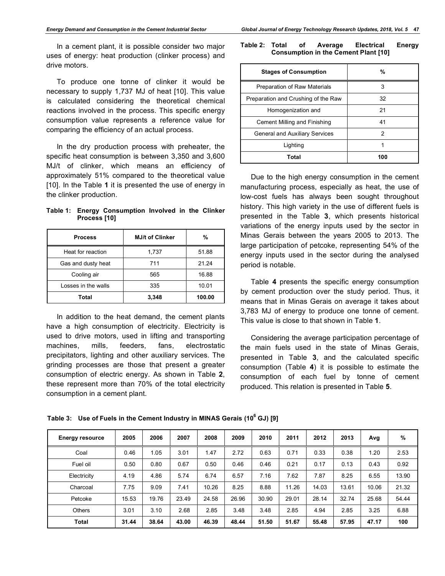In a cement plant, it is possible consider two major uses of energy: heat production (clinker process) and drive motors.

To produce one tonne of clinker it would be necessary to supply 1,737 MJ of heat [10]. This value is calculated considering the theoretical chemical reactions involved in the process. This specific energy consumption value represents a reference value for comparing the efficiency of an actual process.

In the dry production process with preheater, the specific heat consumption is between 3,350 and 3,600 MJ/t of clinker, which means an efficiency of approximately 51% compared to the theoretical value [10]. In the Table **1** it is presented the use of energy in the clinker production.

|                     | Table 1: Energy Consumption Involved in the Clinker |  |  |
|---------------------|-----------------------------------------------------|--|--|
| <b>Process [10]</b> |                                                     |  |  |

| <b>Process</b>      | <b>MJ/t of Clinker</b> | %      |
|---------------------|------------------------|--------|
| Heat for reaction   | 1,737                  | 51.88  |
| Gas and dusty heat  | 711                    | 21.24  |
| Cooling air         | 565                    | 16.88  |
| Losses in the walls | 335                    | 10.01  |
| Total               | 3,348                  | 100.00 |

In addition to the heat demand, the cement plants have a high consumption of electricity. Electricity is used to drive motors, used in lifting and transporting machines, mills, feeders, fans, electrostatic precipitators, lighting and other auxiliary services. The grinding processes are those that present a greater consumption of electric energy. As shown in Table **2**, these represent more than 70% of the total electricity consumption in a cement plant.

#### **Table 2: Total of Average Electrical Energy Consumption in the Cement Plant [10]**

| <b>Stages of Consumption</b>          | %   |
|---------------------------------------|-----|
| Preparation of Raw Materials          | 3   |
| Preparation and Crushing of the Raw   | 32  |
| Homogenization and                    | 21  |
| Cement Milling and Finishing          | 41  |
| <b>General and Auxiliary Services</b> | 2   |
| Lighting                              |     |
| Total                                 | 100 |

Due to the high energy consumption in the cement manufacturing process, especially as heat, the use of low-cost fuels has always been sought throughout history. This high variety in the use of different fuels is presented in the Table **3**, which presents historical variations of the energy inputs used by the sector in Minas Gerais between the years 2005 to 2013. The large participation of petcoke, representing 54% of the energy inputs used in the sector during the analysed period is notable.

Table **4** presents the specific energy consumption by cement production over the study period. Thus, it means that in Minas Gerais on average it takes about 3,783 MJ of energy to produce one tonne of cement. This value is close to that shown in Table **1**.

Considering the average participation percentage of the main fuels used in the state of Minas Gerais, presented in Table **3**, and the calculated specific consumption (Table **4**) it is possible to estimate the consumption of each fuel by tonne of cement produced. This relation is presented in Table **5**.

| <b>Energy resource</b> | 2005  | 2006  | 2007  | 2008  | 2009  | 2010  | 2011  | 2012  | 2013  | Avg   | %     |
|------------------------|-------|-------|-------|-------|-------|-------|-------|-------|-------|-------|-------|
| Coal                   | 0.46  | 1.05  | 3.01  | 1.47  | 2.72  | 0.63  | 0.71  | 0.33  | 0.38  | 1.20  | 2.53  |
| Fuel oil               | 0.50  | 0.80  | 0.67  | 0.50  | 0.46  | 0.46  | 0.21  | 0.17  | 0.13  | 0.43  | 0.92  |
| Electricity            | 4.19  | 4.86  | 5.74  | 6.74  | 6.57  | 7.16  | 7.62  | 7.87  | 8.25  | 6.55  | 13.90 |
| Charcoal               | 7.75  | 9.09  | 7.41  | 10.26 | 8.25  | 8.88  | 11.26 | 14.03 | 13.61 | 10.06 | 21.32 |
| Petcoke                | 15.53 | 19.76 | 23.49 | 24.58 | 26.96 | 30.90 | 29.01 | 28.14 | 32.74 | 25.68 | 54.44 |
| <b>Others</b>          | 3.01  | 3.10  | 2.68  | 2.85  | 3.48  | 3.48  | 2.85  | 4.94  | 2.85  | 3.25  | 6.88  |
| Total                  | 31.44 | 38.64 | 43.00 | 46.39 | 48.44 | 51.50 | 51.67 | 55.48 | 57.95 | 47.17 | 100   |

**Table 3: Use of Fuels in the Cement Industry in MINAS Gerais (10<sup>6</sup> GJ) [9]**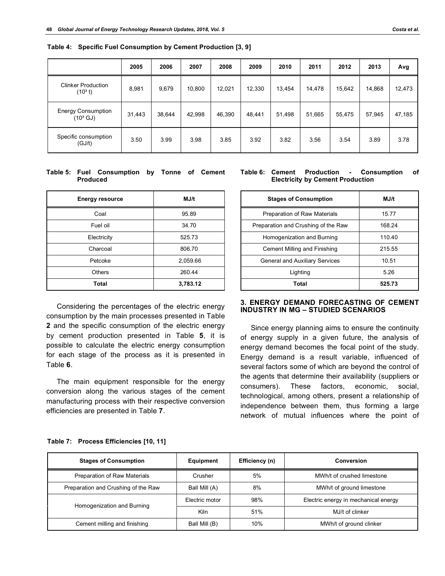| Table 4: Specific Fuel Consumption by Cement Production [3, 9] |  |  |  |  |  |
|----------------------------------------------------------------|--|--|--|--|--|
|----------------------------------------------------------------|--|--|--|--|--|

|                                                  | 2005   | 2006   | 2007   | 2008   | 2009   | 2010   | 2011   | 2012   | 2013   | Avg    |
|--------------------------------------------------|--------|--------|--------|--------|--------|--------|--------|--------|--------|--------|
| <b>Clinker Production</b><br>$(10^3 t)$          | 8,981  | 9,679  | 10,800 | 12,021 | 12,330 | 13,454 | 14,478 | 15,642 | 14,868 | 12,473 |
| <b>Energy Consumption</b><br>$(10^3 \text{ GJ})$ | 31,443 | 38,644 | 42,998 | 46,390 | 48,441 | 51,498 | 51,665 | 55,475 | 57,945 | 47,185 |
| Specific consumption<br>(GJ/t)                   | 3.50   | 3.99   | 3.98   | 3.85   | 3.92   | 3.82   | 3.56   | 3.54   | 3.89   | 3.78   |

#### **Table 5: Fuel Consumption by Tonne of Cement Produced**

| <b>Energy resource</b> | MJ/t     |
|------------------------|----------|
| Coal                   | 95.89    |
| Fuel oil               | 34.70    |
| Electricity            | 525.73   |
| Charcoal               | 806.70   |
| Petcoke                | 2,059.66 |
| <b>Others</b>          | 260.44   |
| <b>Total</b>           | 3,783.12 |

Considering the percentages of the electric energy consumption by the main processes presented in Table **2** and the specific consumption of the electric energy by cement production presented in Table **5**, it is possible to calculate the electric energy consumption for each stage of the process as it is presented in Table **6**.

The main equipment responsible for the energy conversion along the various stages of the cement manufacturing process with their respective conversion efficiencies are presented in Table **7**.

#### **Table 6: Cement Production - Consumption of Electricity by Cement Production**

| <b>Stages of Consumption</b>          | MJ/t   |
|---------------------------------------|--------|
| Preparation of Raw Materials          | 15.77  |
| Preparation and Crushing of the Raw   | 168.24 |
| Homogenization and Burning            | 110.40 |
| Cement Milling and Finishing          | 215.55 |
| <b>General and Auxiliary Services</b> | 10.51  |
| Lighting                              | 5.26   |
| Total                                 | 525.73 |

### **3. ENERGY DEMAND FORECASTING OF CEMENT INDUSTRY IN MG – STUDIED SCENARIOS**

Since energy planning aims to ensure the continuity of energy supply in a given future, the analysis of energy demand becomes the focal point of the study. Energy demand is a result variable, influenced of several factors some of which are beyond the control of the agents that determine their availability (suppliers or consumers). These factors, economic, social, technological, among others, present a relationship of independence between them, thus forming a large network of mutual influences where the point of

| <b>Stages of Consumption</b>        | Equipment      | Efficiency (n) | <b>Conversion</b>                    |
|-------------------------------------|----------------|----------------|--------------------------------------|
| Preparation of Raw Materials        | Crusher        | 5%             | MWh/t of crushed limestone           |
| Preparation and Crushing of the Raw | Ball Mill (A)  | 8%             | MWh/t of ground limestone            |
| Homogenization and Burning          | Electric motor | 98%            | Electric energy in mechanical energy |
|                                     | <b>Kiln</b>    | 51%            | MJ/t of clinker                      |
| Cement milling and finishing        | Ball Mill (B)  | 10%            | MWh/t of ground clinker              |

#### **Table 7: Process Efficiencies [10, 11]**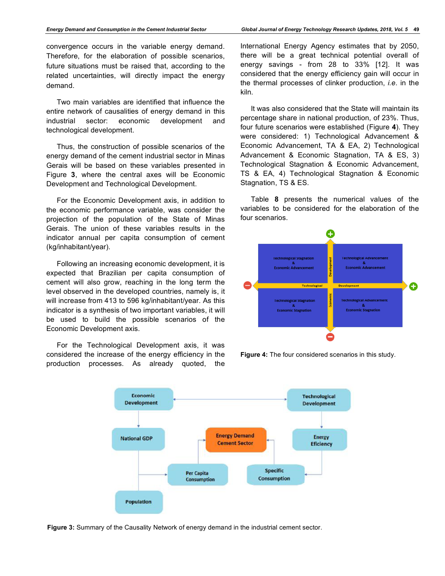convergence occurs in the variable energy demand. Therefore, for the elaboration of possible scenarios, future situations must be raised that, according to the related uncertainties, will directly impact the energy demand.

Two main variables are identified that influence the entire network of causalities of energy demand in this industrial sector: economic development and technological development.

Thus, the construction of possible scenarios of the energy demand of the cement industrial sector in Minas Gerais will be based on these variables presented in Figure **3**, where the central axes will be Economic Development and Technological Development.

For the Economic Development axis, in addition to the economic performance variable, was consider the projection of the population of the State of Minas Gerais. The union of these variables results in the indicator annual per capita consumption of cement (kg/inhabitant/year).

Following an increasing economic development, it is expected that Brazilian per capita consumption of cement will also grow, reaching in the long term the level observed in the developed countries, namely is, it will increase from 413 to 596 kg/inhabitant/year. As this indicator is a synthesis of two important variables, it will be used to build the possible scenarios of the Economic Development axis.

For the Technological Development axis, it was considered the increase of the energy efficiency in the production processes. As already quoted, the

International Energy Agency estimates that by 2050, there will be a great technical potential overall of energy savings - from 28 to 33% [12]. It was considered that the energy efficiency gain will occur in the thermal processes of clinker production, *i.e*. in the kiln.

It was also considered that the State will maintain its percentage share in national production, of 23%. Thus, four future scenarios were established (Figure **4**). They were considered: 1) Technological Advancement & Economic Advancement, TA & EA, 2) Technological Advancement & Economic Stagnation, TA & ES, 3) Technological Stagnation & Economic Advancement, TS & EA, 4) Technological Stagnation & Economic Stagnation, TS & ES.

Table **8** presents the numerical values of the variables to be considered for the elaboration of the four scenarios.



**Figure 4:** The four considered scenarios in this study.



**Figure 3:** Summary of the Causality Network of energy demand in the industrial cement sector.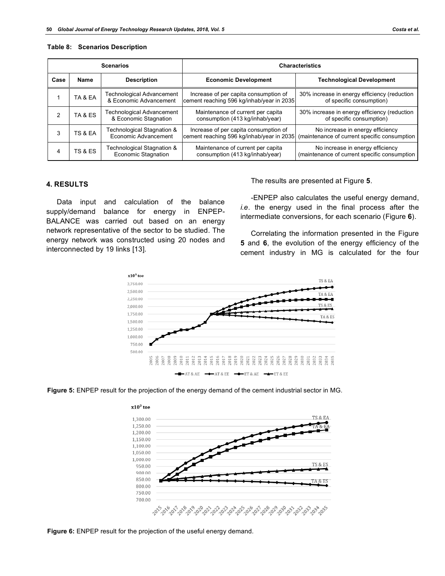#### **Table 8: Scenarios Description**

| <b>Scenarios</b> |                    |                                                            | <b>Characteristics</b>                                                             |                                                                                  |  |  |
|------------------|--------------------|------------------------------------------------------------|------------------------------------------------------------------------------------|----------------------------------------------------------------------------------|--|--|
| Case             | Name               | <b>Description</b>                                         | <b>Economic Development</b>                                                        | <b>Technological Development</b>                                                 |  |  |
|                  | TA & EA            | <b>Technological Advancement</b><br>& Economic Advancement | Increase of per capita consumption of<br>cement reaching 596 kg/inhab/year in 2035 | 30% increase in energy efficiency (reduction<br>of specific consumption)         |  |  |
|                  | TA & ES            | <b>Technological Advancement</b><br>& Economic Stagnation  | Maintenance of current per capita<br>consumption (413 kg/inhab/year)               | 30% increase in energy efficiency (reduction<br>of specific consumption)         |  |  |
| 3                | TS & EA            | Technological Stagnation &<br>Economic Advancement         | Increase of per capita consumption of<br>cement reaching 596 kg/inhab/year in 2035 | No increase in energy efficiency<br>(maintenance of current specific consumption |  |  |
| 4                | <b>TS &amp; ES</b> | Technological Stagnation &<br>Economic Stagnation          | Maintenance of current per capita<br>consumption (413 kg/inhab/year)               | No increase in energy efficiency<br>(maintenance of current specific consumption |  |  |

## **4. RESULTS**

Data input and calculation of the balance supply/demand balance for energy in ENPEP-BALANCE was carried out based on an energy network representative of the sector to be studied. The energy network was constructed using 20 nodes and interconnected by 19 links [13].

The results are presented at Figure **5**.

-ENPEP also calculates the useful energy demand, *i.e*. the energy used in the final process after the intermediate conversions, for each scenario (Figure **6**).

Correlating the information presented in the Figure **5** and **6**, the evolution of the energy efficiency of the cement industry in MG is calculated for the four







**Figure 6:** ENPEP result for the projection of the useful energy demand.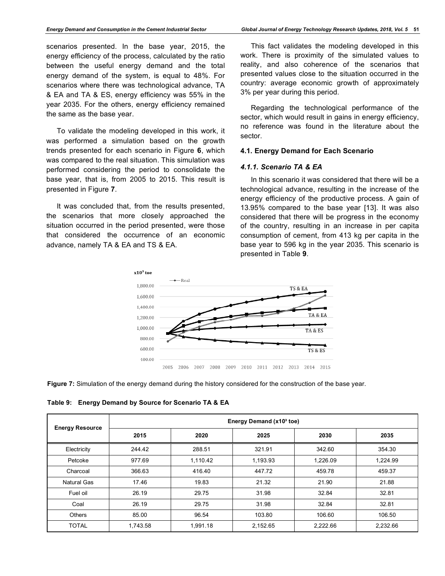scenarios presented. In the base year, 2015, the energy efficiency of the process, calculated by the ratio between the useful energy demand and the total energy demand of the system, is equal to 48%. For scenarios where there was technological advance, TA & EA and TA & ES, energy efficiency was 55% in the year 2035. For the others, energy efficiency remained the same as the base year.

To validate the modeling developed in this work, it was performed a simulation based on the growth trends presented for each scenario in Figure **6**, which was compared to the real situation. This simulation was performed considering the period to consolidate the base year, that is, from 2005 to 2015. This result is presented in Figure **7**.

It was concluded that, from the results presented, the scenarios that more closely approached the situation occurred in the period presented, were those that considered the occurrence of an economic advance, namely TA & EA and TS & EA.

This fact validates the modeling developed in this work. There is proximity of the simulated values to reality, and also coherence of the scenarios that presented values close to the situation occurred in the country: average economic growth of approximately 3% per year during this period.

Regarding the technological performance of the sector, which would result in gains in energy efficiency, no reference was found in the literature about the sector.

#### **4.1. Energy Demand for Each Scenario**

## *4.1.1. Scenario TA & EA*

In this scenario it was considered that there will be a technological advance, resulting in the increase of the energy efficiency of the productive process. A gain of 13.95% compared to the base year [13]. It was also considered that there will be progress in the economy of the country, resulting in an increase in per capita consumption of cement, from 413 kg per capita in the base year to 596 kg in the year 2035. This scenario is presented in Table **9**.



**Figure 7:** Simulation of the energy demand during the history considered for the construction of the base year.

| <b>Energy Resource</b> | Energy Demand (x10 <sup>3</sup> toe) |          |          |          |          |  |  |  |
|------------------------|--------------------------------------|----------|----------|----------|----------|--|--|--|
|                        | 2015                                 | 2020     | 2025     | 2030     | 2035     |  |  |  |
| Electricity            | 244.42                               | 288.51   | 321.91   | 342.60   | 354.30   |  |  |  |
| Petcoke                | 977.69                               | 1,110.42 | 1,193.93 | 1,226.09 | 1,224.99 |  |  |  |
| Charcoal               | 366.63                               | 416.40   | 447.72   | 459.78   | 459.37   |  |  |  |
| Natural Gas            | 17.46                                | 19.83    | 21.32    | 21.90    | 21.88    |  |  |  |
| Fuel oil               | 26.19                                | 29.75    | 31.98    | 32.84    | 32.81    |  |  |  |
| Coal                   | 26.19                                | 29.75    | 31.98    | 32.84    | 32.81    |  |  |  |
| <b>Others</b>          | 85.00                                | 96.54    | 103.80   | 106.60   | 106.50   |  |  |  |
| <b>TOTAL</b>           | 1.743.58                             | 1.991.18 | 2,152.65 | 2,222.66 | 2,232.66 |  |  |  |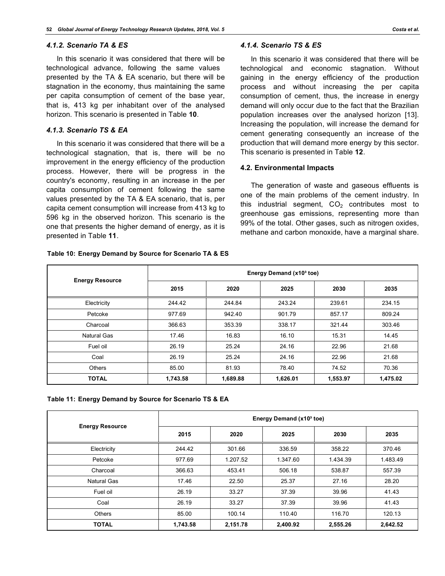### *4.1.2. Scenario TA & ES*

In this scenario it was considered that there will be technological advance, following the same values presented by the TA & EA scenario, but there will be stagnation in the economy, thus maintaining the same per capita consumption of cement of the base year, that is, 413 kg per inhabitant over of the analysed horizon. This scenario is presented in Table **10**.

# *4.1.3. Scenario TS & EA*

In this scenario it was considered that there will be a technological stagnation, that is, there will be no improvement in the energy efficiency of the production process. However, there will be progress in the country's economy, resulting in an increase in the per capita consumption of cement following the same values presented by the TA & EA scenario, that is, per capita cement consumption will increase from 413 kg to 596 kg in the observed horizon. This scenario is the one that presents the higher demand of energy, as it is presented in Table **11**.

## *4.1.4. Scenario TS & ES*

In this scenario it was considered that there will be technological and economic stagnation. Without gaining in the energy efficiency of the production process and without increasing the per capita consumption of cement, thus, the increase in energy demand will only occur due to the fact that the Brazilian population increases over the analysed horizon [13]. Increasing the population, will increase the demand for cement generating consequently an increase of the production that will demand more energy by this sector. This scenario is presented in Table **12**.

## **4.2. Environmental Impacts**

The generation of waste and gaseous effluents is one of the main problems of the cement industry. In this industrial segment,  $CO<sub>2</sub>$  contributes most to greenhouse gas emissions, representing more than 99% of the total. Other gases, such as nitrogen oxides, methane and carbon monoxide, have a marginal share.

| <b>Energy Resource</b> | Energy Demand (x10 <sup>3</sup> toe) |          |          |          |          |  |
|------------------------|--------------------------------------|----------|----------|----------|----------|--|
|                        | 2015                                 | 2020     | 2025     | 2030     | 2035     |  |
| Electricity            | 244.42                               | 244.84   | 243.24   | 239.61   | 234.15   |  |
| Petcoke                | 977.69                               | 942.40   | 901.79   | 857.17   | 809.24   |  |
| Charcoal               | 366.63                               | 353.39   | 338.17   | 321.44   | 303.46   |  |
| <b>Natural Gas</b>     | 17.46                                | 16.83    | 16.10    | 15.31    | 14.45    |  |
| Fuel oil               | 26.19                                | 25.24    | 24.16    | 22.96    | 21.68    |  |
| Coal                   | 26.19                                | 25.24    | 24.16    | 22.96    | 21.68    |  |
| <b>Others</b>          | 85.00                                | 81.93    | 78.40    | 74.52    | 70.36    |  |
| <b>TOTAL</b>           | 1,743.58                             | 1,689.88 | 1,626.01 | 1,553.97 | 1,475.02 |  |

### **Table 10: Energy Demand by Source for Scenario TA & ES**

#### **Table 11: Energy Demand by Source for Scenario TS & EA**

| <b>Energy Resource</b> | Energy Demand (x10 <sup>3</sup> toe) |          |          |          |          |
|------------------------|--------------------------------------|----------|----------|----------|----------|
|                        | 2015                                 | 2020     | 2025     | 2030     | 2035     |
| Electricity            | 244.42                               | 301.66   | 336.59   | 358.22   | 370.46   |
| Petcoke                | 977.69                               | 1.207.52 | 1.347.60 | 1.434.39 | 1.483.49 |
| Charcoal               | 366.63                               | 453.41   | 506.18   | 538.87   | 557.39   |
| <b>Natural Gas</b>     | 17.46                                | 22.50    | 25.37    | 27.16    | 28.20    |
| Fuel oil               | 26.19                                | 33.27    | 37.39    | 39.96    | 41.43    |
| Coal                   | 26.19                                | 33.27    | 37.39    | 39.96    | 41.43    |
| <b>Others</b>          | 85.00                                | 100.14   | 110.40   | 116.70   | 120.13   |
| <b>TOTAL</b>           | 1,743.58                             | 2,151.78 | 2,400.92 | 2,555.26 | 2,642.52 |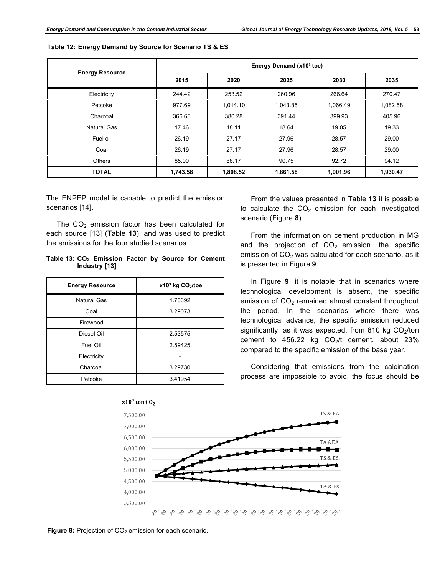| <b>Energy Resource</b> | Energy Demand (x10 <sup>3</sup> toe) |          |          |          |          |
|------------------------|--------------------------------------|----------|----------|----------|----------|
|                        | 2015                                 | 2020     | 2025     | 2030     | 2035     |
| Electricity            | 244.42                               | 253.52   | 260.96   | 266.64   | 270.47   |
| Petcoke                | 977.69                               | 1,014.10 | 1,043.85 | 1,066.49 | 1,082.58 |
| Charcoal               | 366.63                               | 380.28   | 391.44   | 399.93   | 405.96   |
| <b>Natural Gas</b>     | 17.46                                | 18.11    | 18.64    | 19.05    | 19.33    |
| Fuel oil               | 26.19                                | 27.17    | 27.96    | 28.57    | 29.00    |
| Coal                   | 26.19                                | 27.17    | 27.96    | 28.57    | 29.00    |
| <b>Others</b>          | 85.00                                | 88.17    | 90.75    | 92.72    | 94.12    |
| <b>TOTAL</b>           | 1,743.58                             | 1,808.52 | 1,861.58 | 1,901.96 | 1,930.47 |

#### **Table 12: Energy Demand by Source for Scenario TS & ES**

The ENPEP model is capable to predict the emission scenarios [14].

The  $CO<sub>2</sub>$  emission factor has been calculated for each source [13] (Table **13**), and was used to predict the emissions for the four studied scenarios.

## **Table 13: CO2 Emission Factor by Source for Cement Industry [13]**

| <b>Energy Resource</b> | $x103$ kg CO <sub>2</sub> /toe |
|------------------------|--------------------------------|
| Natural Gas            | 1.75392                        |
| Coal                   | 3.29073                        |
| Firewood               |                                |
| Diesel Oil             | 2.53575                        |
| Fuel Oil               | 2.59425                        |
| Electricity            |                                |
| Charcoal               | 3.29730                        |
| Petcoke                | 3.41954                        |

From the values presented in Table **13** it is possible to calculate the  $CO<sub>2</sub>$  emission for each investigated scenario (Figure **8**).

From the information on cement production in MG and the projection of  $CO<sub>2</sub>$  emission, the specific emission of  $CO<sub>2</sub>$  was calculated for each scenario, as it is presented in Figure **9**.

In Figure **9**, it is notable that in scenarios where technological development is absent, the specific emission of  $CO<sub>2</sub>$  remained almost constant throughout the period. In the scenarios where there was technological advance, the specific emission reduced significantly, as it was expected, from 610 kg  $CO<sub>2</sub>/ton$ cement to  $456.22$  kg  $CO<sub>2</sub>/t$  cement, about 23% compared to the specific emission of the base year.

Considering that emissions from the calcination process are impossible to avoid, the focus should be



# $x10^3$  ton CO<sub>2</sub>

Figure 8: Projection of CO<sub>2</sub> emission for each scenario.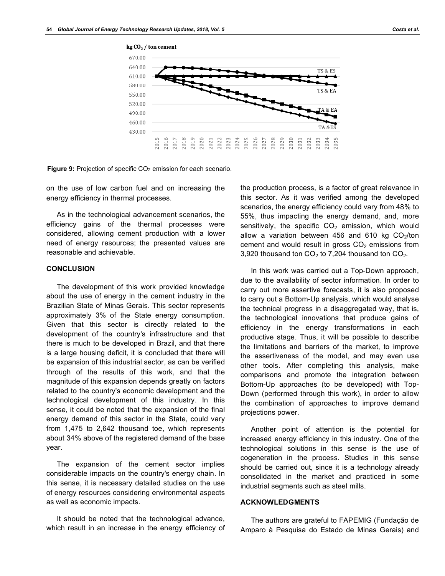

**Figure 9:** Projection of specific CO<sub>2</sub> emission for each scenario.

on the use of low carbon fuel and on increasing the energy efficiency in thermal processes.

As in the technological advancement scenarios, the efficiency gains of the thermal processes were considered, allowing cement production with a lower need of energy resources; the presented values are reasonable and achievable.

## **CONCLUSION**

The development of this work provided knowledge about the use of energy in the cement industry in the Brazilian State of Minas Gerais. This sector represents approximately 3% of the State energy consumption. Given that this sector is directly related to the development of the country's infrastructure and that there is much to be developed in Brazil, and that there is a large housing deficit, it is concluded that there will be expansion of this industrial sector, as can be verified through of the results of this work, and that the magnitude of this expansion depends greatly on factors related to the country's economic development and the technological development of this industry. In this sense, it could be noted that the expansion of the final energy demand of this sector in the State, could vary from 1,475 to 2,642 thousand toe, which represents about 34% above of the registered demand of the base year.

The expansion of the cement sector implies considerable impacts on the country's energy chain. In this sense, it is necessary detailed studies on the use of energy resources considering environmental aspects as well as economic impacts.

It should be noted that the technological advance, which result in an increase in the energy efficiency of the production process, is a factor of great relevance in this sector. As it was verified among the developed scenarios, the energy efficiency could vary from 48% to 55%, thus impacting the energy demand, and, more sensitively, the specific  $CO<sub>2</sub>$  emission, which would allow a variation between 456 and 610 kg  $CO<sub>2</sub>/ton$ cement and would result in gross  $CO<sub>2</sub>$  emissions from 3,920 thousand ton  $CO<sub>2</sub>$  to 7,204 thousand ton  $CO<sub>2</sub>$ .

In this work was carried out a Top-Down approach, due to the availability of sector information. In order to carry out more assertive forecasts, it is also proposed to carry out a Bottom-Up analysis, which would analyse the technical progress in a disaggregated way, that is, the technological innovations that produce gains of efficiency in the energy transformations in each productive stage. Thus, it will be possible to describe the limitations and barriers of the market, to improve the assertiveness of the model, and may even use other tools. After completing this analysis, make comparisons and promote the integration between Bottom-Up approaches (to be developed) with Top-Down (performed through this work), in order to allow the combination of approaches to improve demand projections power.

Another point of attention is the potential for increased energy efficiency in this industry. One of the technological solutions in this sense is the use of cogeneration in the process. Studies in this sense should be carried out, since it is a technology already consolidated in the market and practiced in some industrial segments such as steel mills.

### **ACKNOWLEDGMENTS**

The authors are grateful to FAPEMIG (Fundação de Amparo à Pesquisa do Estado de Minas Gerais) and